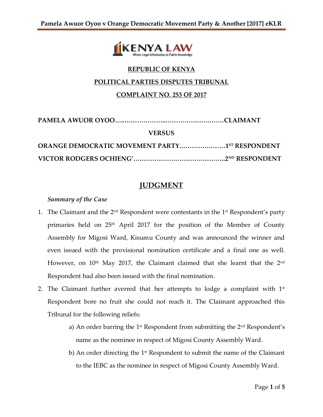

# **REPUBLIC OF KENYA**

### **POLITICAL PARTIES DISPUTES TRIBUNAL**

## **COMPLAINT NO. 253 OF 2017**

| <b>VERSUS</b>                                         |  |
|-------------------------------------------------------|--|
| <b>ORANGE DEMOCRATIC MOVEMENT PARTY15T RESPONDENT</b> |  |
|                                                       |  |

# **JUDGMENT**

#### *Summary of the Case*

- 1. The Claimant and the  $2^{\text{nd}}$  Respondent were contestants in the 1<sup>st</sup> Respondent's party primaries held on 25<sup>th</sup> April 2017 for the position of the Member of County Assembly for Migosi Ward, Kisumu County and was announced the winner and even issued with the provisional nomination certificate and a final one as well. However, on  $10<sup>th</sup>$  May 2017, the Claimant claimed that she learnt that the  $2<sup>nd</sup>$ Respondent had also been issued with the final nomination.
- 2. The Claimant further averred that her attempts to lodge a complaint with  $1<sup>st</sup>$ Respondent bore no fruit she could not reach it. The Claimant approached this Tribunal for the following reliefs:
	- a) An order barring the 1st Respondent from submitting the 2nd Respondent's name as the nominee in respect of Migosi County Assembly Ward.
	- b) An order directing the 1<sup>st</sup> Respondent to submit the name of the Claimant to the IEBC as the nominee in respect of Migosi County Assembly Ward.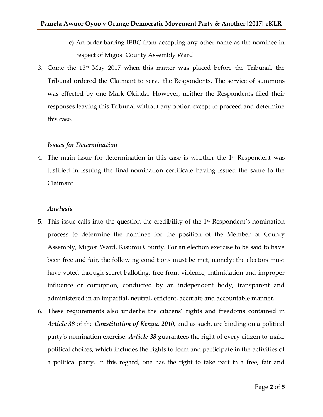- c) An order barring IEBC from accepting any other name as the nominee in respect of Migosi County Assembly Ward.
- 3. Come the  $13<sup>th</sup>$  May 2017 when this matter was placed before the Tribunal, the Tribunal ordered the Claimant to serve the Respondents. The service of summons was effected by one Mark Okinda. However, neither the Respondents filed their responses leaving this Tribunal without any option except to proceed and determine this case.

## *Issues for Determination*

4. The main issue for determination in this case is whether the  $1<sup>st</sup>$  Respondent was justified in issuing the final nomination certificate having issued the same to the Claimant.

## *Analysis*

- 5. This issue calls into the question the credibility of the  $1<sup>st</sup>$  Respondent's nomination process to determine the nominee for the position of the Member of County Assembly, Migosi Ward, Kisumu County. For an election exercise to be said to have been free and fair, the following conditions must be met, namely: the electors must have voted through secret balloting, free from violence, intimidation and improper influence or corruption, conducted by an independent body, transparent and administered in an impartial, neutral, efficient, accurate and accountable manner.
- 6. These requirements also underlie the citizens' rights and freedoms contained in *Article 38* of the *Constitution of Kenya, 2010,* and as such, are binding on a political party's nomination exercise. *Article 38* guarantees the right of every citizen to make political choices, which includes the rights to form and participate in the activities of a political party. In this regard, one has the right to take part in a free, fair and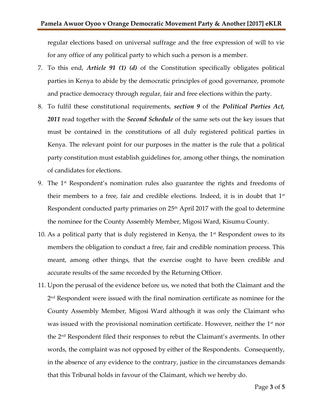regular elections based on universal suffrage and the free expression of will to vie for any office of any political party to which such a person is a member.

- 7. To this end, *Article 91 (1) (d)* of the Constitution specifically obligates political parties in Kenya to abide by the democratic principles of good governance, promote and practice democracy through regular, fair and free elections within the party.
- 8. To fulfil these constitutional requirements, *section 9* of the *Political Parties Act, 2011* read together with the *Second Schedule* of the same sets out the key issues that must be contained in the constitutions of all duly registered political parties in Kenya. The relevant point for our purposes in the matter is the rule that a political party constitution must establish guidelines for, among other things, the nomination of candidates for elections.
- 9. The  $1<sup>st</sup>$  Respondent's nomination rules also guarantee the rights and freedoms of their members to a free, fair and credible elections. Indeed, it is in doubt that  $1<sup>st</sup>$ Respondent conducted party primaries on 25th April 2017 with the goal to determine the nominee for the County Assembly Member, Migosi Ward, Kisumu County.
- 10. As a political party that is duly registered in Kenya, the  $1<sup>st</sup>$  Respondent owes to its members the obligation to conduct a free, fair and credible nomination process. This meant, among other things, that the exercise ought to have been credible and accurate results of the same recorded by the Returning Officer.
- 11. Upon the perusal of the evidence before us, we noted that both the Claimant and the 2 nd Respondent were issued with the final nomination certificate as nominee for the County Assembly Member, Migosi Ward although it was only the Claimant who was issued with the provisional nomination certificate. However, neither the  $1<sup>st</sup>$  nor the 2<sup>nd</sup> Respondent filed their responses to rebut the Claimant's averments. In other words, the complaint was not opposed by either of the Respondents. Consequently, in the absence of any evidence to the contrary, justice in the circumstances demands that this Tribunal holds in favour of the Claimant, which we hereby do.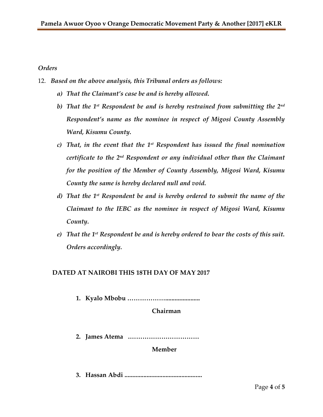## *Orders*

- 12. *Based on the above analysis, this Tribunal orders as follows:*
	- *a) That the Claimant's case be and is hereby allowed.*
	- *b) That the 1 st Respondent be and is hereby restrained from submitting the 2nd Respondent's name as the nominee in respect of Migosi County Assembly Ward, Kisumu County.*
	- *c) That, in the event that the 1st Respondent has issued the final nomination certificate to the 2nd Respondent or any individual other than the Claimant for the position of the Member of County Assembly, Migosi Ward, Kisumu County the same is hereby declared null and void.*
	- *d) That the 1st Respondent be and is hereby ordered to submit the name of the Claimant to the IEBC as the nominee in respect of Migosi Ward, Kisumu County.*
	- *e) That the 1st Respondent be and is hereby ordered to bear the costs of this suit. Orders accordingly.*

## **DATED AT NAIROBI THIS 18TH DAY OF MAY 2017**

**1. Kyalo Mbobu ………………......................**

**Chairman**

**2. James Atema .……………………………**

**Member**

**3. Hassan Abdi .................................................**